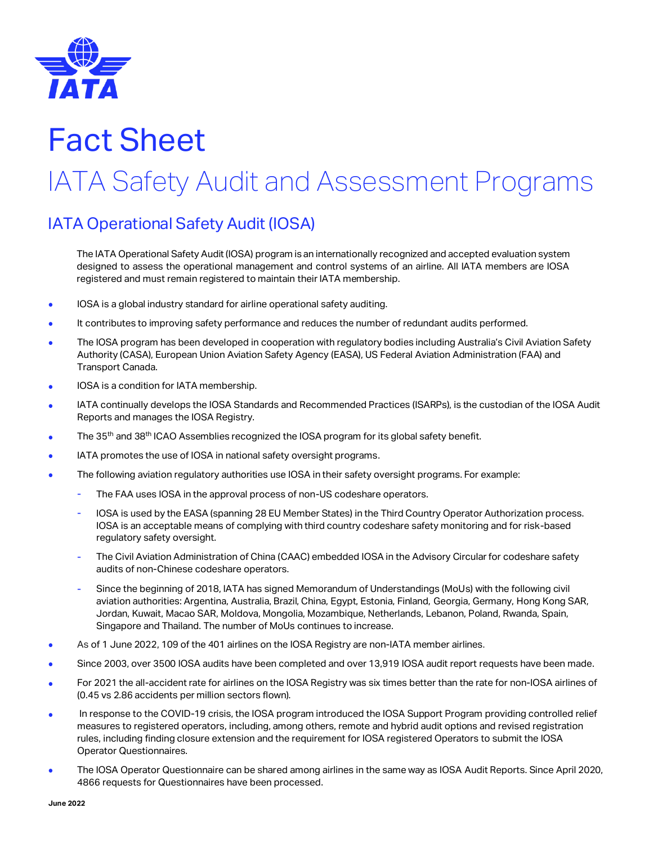

# Fact Sheet

# IATA Safety Audit and Assessment Programs

### IATA Operational Safety Audit (IOSA)

The IATA Operational Safety Audit (IOSA) program is an internationally recognized and accepted evaluation system designed to assess the operational management and control systems of an airline. All IATA members are IOSA registered and must remain registered to maintain their IATA membership.

- IOSA is a global industry standard for airline operational safety auditing.
- It contributes to improving safety performance and reduces the number of redundant audits performed.
- The IOSA program has been developed in cooperation with regulatory bodies including Australia's Civil Aviation Safety Authority (CASA), European Union Aviation Safety Agency (EASA), US Federal Aviation Administration (FAA) and Transport Canada.
- IOSA is a condition for IATA membership.
- IATA continually develops the IOSA Standards and Recommended Practices (ISARPs), is the custodian of the IOSA Audit Reports and manages the IOSA Registry.
- The 35<sup>th</sup> and 38<sup>th</sup> ICAO Assemblies recognized the IOSA program for its global safety benefit.
- IATA promotes the use of IOSA in national safety oversight programs.
- The following aviation regulatory authorities use IOSA in their safety oversight programs. For example:
	- The FAA uses IOSA in the approval process of non-US codeshare operators.
	- IOSA is used by the EASA (spanning 28 EU Member States) in the Third Country Operator Authorization process. IOSA is an acceptable means of complying with third country codeshare safety monitoring and for risk-based regulatory safety oversight.
	- The Civil Aviation Administration of China (CAAC) embedded IOSA in the Advisory Circular for codeshare safety audits of non-Chinese codeshare operators.
	- Since the beginning of 2018, IATA has signed Memorandum of Understandings (MoUs) with the following civil aviation authorities: Argentina, Australia, Brazil, China, Egypt, Estonia, Finland, Georgia, Germany, Hong Kong SAR, Jordan, Kuwait, Macao SAR, Moldova, Mongolia, Mozambique, Netherlands, Lebanon, Poland, Rwanda, Spain, Singapore and Thailand. The number of MoUs continues to increase.
- As of 1 June 2022, 109 of the 401 airlines on the IOSA Registry are non-IATA member airlines.
- Since 2003, over 3500 IOSA audits have been completed and over 13,919 IOSA audit report requests have been made.
- For 2021 the all-accident rate for airlines on the IOSA Registry was six times better than the rate for non-IOSA airlines of (0.45 vs 2.86 accidents per million sectors flown).
- In response to the COVID-19 crisis, the IOSA program introduced the IOSA Support Program providing controlled relief measures to registered operators, including, among others, remote and hybrid audit options and revised registration rules, including finding closure extension and the requirement for IOSA registered Operators to submit the IOSA Operator Questionnaires.
- The IOSA Operator Questionnaire can be shared among airlines in the same way as IOSA Audit Reports. Since April 2020, 4866 requests for Questionnaires have been processed.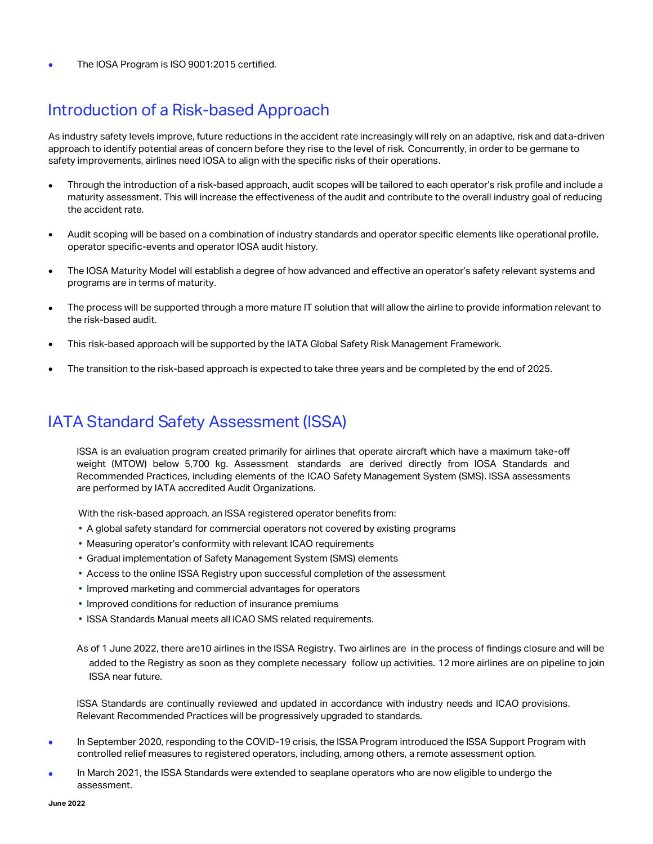• The IOSA Program is ISO 9001:2015 certified.

### Introduction of a Risk-based Approach

As industry safety levels improve, future reductions in the accident rate increasingly will rely on an adaptive, risk and data-driven approach to identify potential areas of concern before they rise to the level of risk. Concurrently, in order to be germane to safety improvements, airlines need IOSA to align with the specific risks of their operations.

- Through the introduction of a risk-based approach, audit scopes will be tailored to each operator's risk profile and include a maturity assessment. This will increase the effectiveness of the audit and contribute to the overall industry goal of reducing the accident rate.
- Audit scoping will be based on a combination of industry standards and operator specific elements like operational profile, operator specific-events and operator IOSA audit history.
- The IOSA Maturity Model will establish a degree of how advanced and effective an operator's safety relevant systems and programs are in terms of maturity.
- The process will be supported through a more mature IT solution that will allow the airline to provide information relevant to the risk-based audit.
- This risk-based approach will be supported by the IATA Global Safety Risk Management Framework.
- The transition to the risk-based approach is expected to take three years and be completed by the end of 2025.

### IATA Standard Safety Assessment (ISSA)

ISSA is an evaluation program created primarily for airlines that operate aircraft which have a maximum take-off weight (MTOW) below 5,700 kg. Assessment standards are derived directly from IOSA Standards and Recommended Practices, including elements of the ICAO Safety Management System (SMS). ISSA assessments are performed by IATA accredited Audit Organizations.

With the risk-based approach, an ISSA registered operator benefits from:

- A global safety standard for commercial operators not covered by existing programs
- Measuring operator's conformity with relevant ICAO requirements
- Gradual implementation of Safety Management System (SMS) elements
- Access to the online ISSA Registry upon successful completion of the assessment
- Improved marketing and commercial advantages for operators
- Improved conditions for reduction of insurance premiums
- ISSA Standards Manual meets all ICAO SMS related requirements.

 As of 1 June 2022, there are10 airlines in the ISSA Registry. Two airlines are in the process of findings closure and will be added to the Registry as soon as they complete necessary follow up activities. 12 more airlines are on pipeline to join ISSA near future.

ISSA Standards are continually reviewed and updated in accordance with industry needs and ICAO provisions. Relevant Recommended Practices will be progressively upgraded to standards.

- In September 2020, responding to the COVID-19 crisis, the ISSA Program introduced the ISSA Support Program with controlled relief measures to registered operators, including, among others, a remote assessment option.
- In March 2021, the ISSA Standards were extended to seaplane operators who are now eligible to undergo the assessment.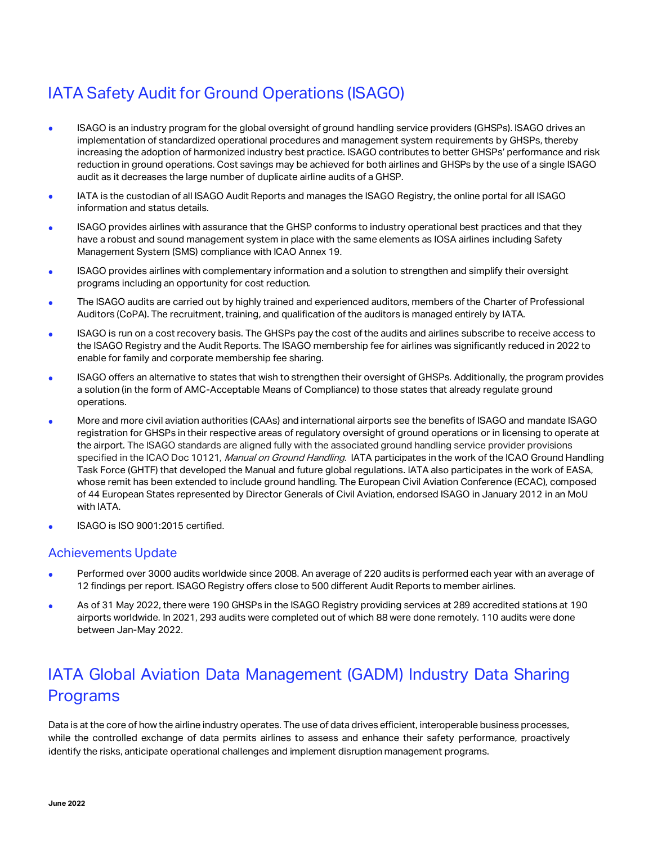# IATA Safety Audit for Ground Operations (ISAGO)

- ISAGO is an industry program for the global oversight of ground handling service providers (GHSPs). ISAGO drives an implementation of standardized operational procedures and management system requirements by GHSPs, thereby increasing the adoption of harmonized industry best practice. ISAGO contributes to better GHSPs' performance and risk reduction in ground operations. Cost savings may be achieved for both airlines and GHSPs by the use of a single ISAGO audit as it decreases the large number of duplicate airline audits of a GHSP.
- IATA is the custodian of all ISAGO Audit Reports and manages the ISAGO Registry, the online portal for all ISAGO information and status details.
- ISAGO provides airlines with assurance that the GHSP conforms to industry operational best practices and that they have a robust and sound management system in place with the same elements as IOSA airlines including Safety Management System (SMS) compliance with ICAO Annex 19.
- ISAGO provides airlines with complementary information and a solution to strengthen and simplify their oversight programs including an opportunity for cost reduction.
- The ISAGO audits are carried out by highly trained and experienced auditors, members of the Charter of Professional Auditors (CoPA). The recruitment, training, and qualification of the auditors is managed entirely by IATA.
- ISAGO is run on a cost recovery basis. The GHSPs pay the cost of the audits and airlines subscribe to receive access to the ISAGO Registry and the Audit Reports. The ISAGO membership fee for airlines was significantly reduced in 2022 to enable for family and corporate membership fee sharing.
- ISAGO offers an alternative to states that wish to strengthen their oversight of GHSPs. Additionally, the program provides a solution (in the form of AMC-Acceptable Means of Compliance) to those states that already regulate ground operations.
- More and more civil aviation authorities (CAAs) and international airports see the benefits of ISAGO and mandate ISAGO registration for GHSPs in their respective areas of regulatory oversight of ground operations or in licensing to operate at the airport. The ISAGO standards are aligned fully with the associated ground handling service provider provisions specified in the ICAO Doc 10121, Manual on Ground Handling. IATA participates in the work of the ICAO Ground Handling Task Force (GHTF) that developed the Manual and future global regulations. IATA also participates in the work of EASA, whose remit has been extended to include ground handling. The European Civil Aviation Conference (ECAC), composed of 44 European States represented by Director Generals of Civil Aviation, endorsed ISAGO in January 2012 in an MoU with IATA.
- ISAGO is ISO 9001:2015 certified.

#### Achievements Update

- Performed over 3000 audits worldwide since 2008. An average of 220 audits is performed each year with an average of 12 findings per report. ISAGO Registry offers close to 500 different Audit Reports to member airlines.
- As of 31 May 2022, there were 190 GHSPs in the ISAGO Registry providing services at 289 accredited stations at 190 airports worldwide. In 2021, 293 audits were completed out of which 88 were done remotely. 110 audits were done between Jan-May 2022.

## IATA Global Aviation Data Management (GADM) Industry Data Sharing Programs

Data is at the core of how the airline industry operates. The use of data drives efficient, interoperable business processes, while the controlled exchange of data permits airlines to assess and enhance their safety performance, proactively identify the risks, anticipate operational challenges and implement disruption management programs.